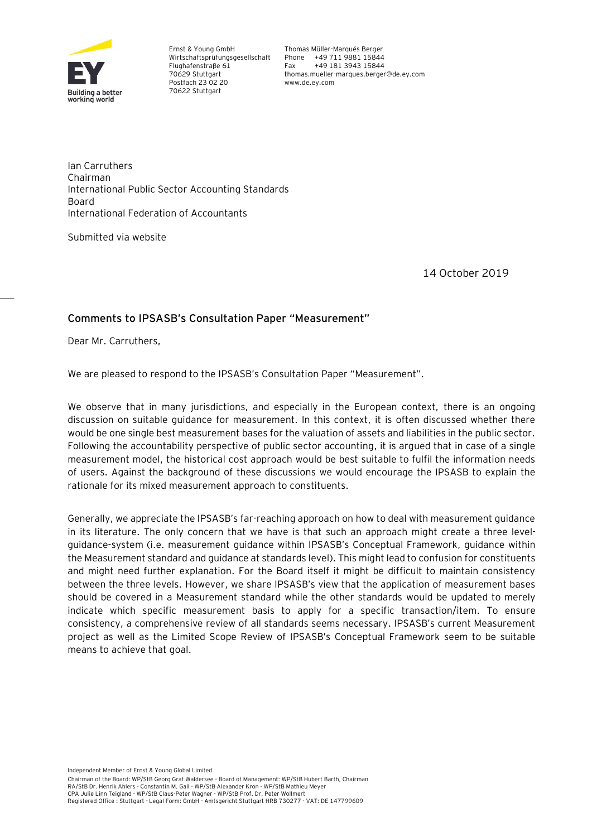

Ernst & Young GmbH Wirtschaftsprüfungsgesellschaft Flughafenstraße 61 70629 Stuttgart Postfach 23 02 20 70622 Stuttgart

Thomas Müller-Marqués Berger Phone +49 711 9881 15844 Fax +49 181 3943 15844 thomas.mueller-marques.berger@de.ey.com www.de.ey.com

Ian Carruthers Chairman International Public Sector Accounting Standards Board International Federation of Accountants

Submitted via website

14 October 2019

# **Comments to IPSASB's Consultation Paper "Measurement"**

Dear Mr. Carruthers,

We are pleased to respond to the IPSASB's Consultation Paper "Measurement".

We observe that in many jurisdictions, and especially in the European context, there is an ongoing discussion on suitable guidance for measurement. In this context, it is often discussed whether there would be one single best measurement bases for the valuation of assets and liabilities in the public sector. Following the accountability perspective of public sector accounting, it is argued that in case of a single measurement model, the historical cost approach would be best suitable to fulfil the information needs of users. Against the background of these discussions we would encourage the IPSASB to explain the rationale for its mixed measurement approach to constituents.

Generally, we appreciate the IPSASB's far-reaching approach on how to deal with measurement guidance in its literature. The only concern that we have is that such an approach might create a three levelguidance-system (i.e. measurement guidance within IPSASB's Conceptual Framework, guidance within the Measurement standard and guidance at standards level). This might lead to confusion for constituents and might need further explanation. For the Board itself it might be difficult to maintain consistency between the three levels. However, we share IPSASB's view that the application of measurement bases should be covered in a Measurement standard while the other standards would be updated to merely indicate which specific measurement basis to apply for a specific transaction/item. To ensure consistency, a comprehensive review of all standards seems necessary. IPSASB's current Measurement project as well as the Limited Scope Review of IPSASB's Conceptual Framework seem to be suitable means to achieve that goal.

Independent Member of Ernst & Young Global Limited

Chairman of the Board: WP/StB Georg Graf Waldersee - Board of Management: WP/StB Hubert Barth, Chairman RA/StB Dr. Henrik Ahlers - Constantin M. Gall - WP/StB Alexander Kron - WP/StB Mathieu Meyer CPA Julie Linn Teigland - WP/StB Claus-Peter Wagner - WP/StB Prof. Dr. Peter Wollmert Registered Office : Stuttgart - Legal Form: GmbH - Amtsgericht Stuttgart HRB 730277 - VAT: DE 147799609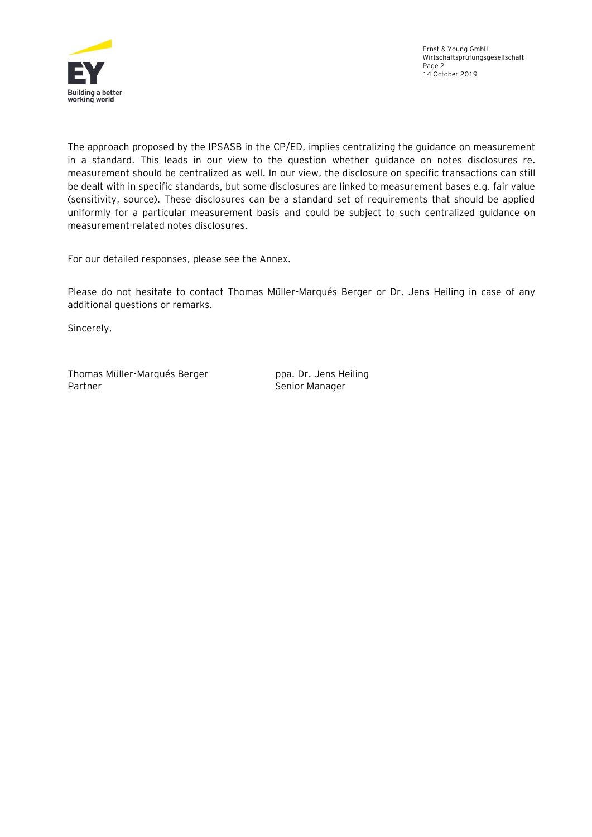

The approach proposed by the IPSASB in the CP/ED, implies centralizing the guidance on measurement in a standard. This leads in our view to the question whether guidance on notes disclosures re. measurement should be centralized as well. In our view, the disclosure on specific transactions can still be dealt with in specific standards, but some disclosures are linked to measurement bases e.g. fair value (sensitivity, source). These disclosures can be a standard set of requirements that should be applied uniformly for a particular measurement basis and could be subject to such centralized guidance on measurement-related notes disclosures.

For our detailed responses, please see the Annex.

Please do not hesitate to contact Thomas Müller-Marqués Berger or Dr. Jens Heiling in case of any additional questions or remarks.

Sincerely,

Thomas Müller-Marqués Berger ppa. Dr. Jens Heiling Partner **Senior Manager** Senior Manager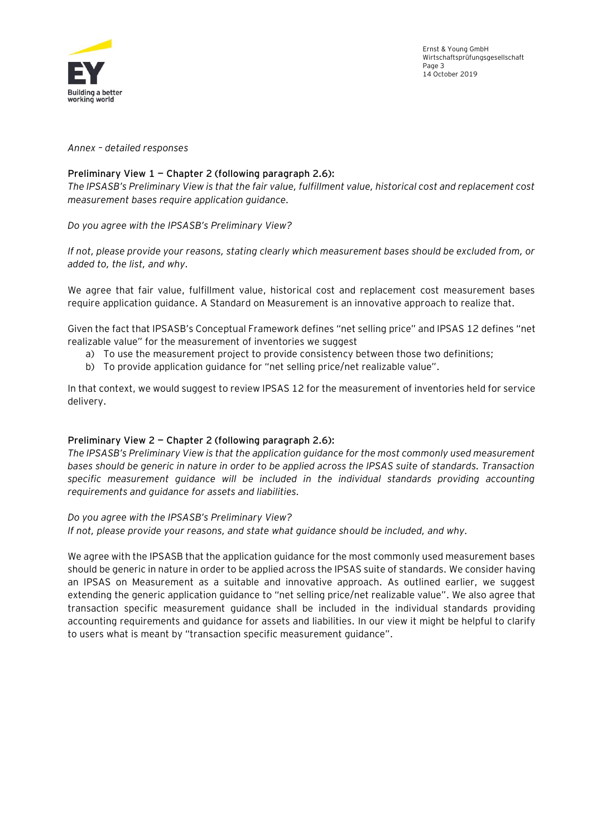

Ernst & Young GmbH Wirtschaftsprüfungsgesellschaft Page 3 14 October 2019

*Annex – detailed responses*

## **Preliminary View 1 — Chapter 2 (following paragraph 2.6):**

*The IPSASB's Preliminary View is that the fair value, fulfillment value, historical cost and replacement cost measurement bases require application guidance.* 

*Do you agree with the IPSASB's Preliminary View?* 

*If not, please provide your reasons, stating clearly which measurement bases should be excluded from, or added to, the list, and why.*

We agree that fair value, fulfillment value, historical cost and replacement cost measurement bases require application guidance. A Standard on Measurement is an innovative approach to realize that.

Given the fact that IPSASB's Conceptual Framework defines "net selling price" and IPSAS 12 defines "net realizable value" for the measurement of inventories we suggest

- a) To use the measurement project to provide consistency between those two definitions;
- b) To provide application guidance for "net selling price/net realizable value".

In that context, we would suggest to review IPSAS 12 for the measurement of inventories held for service delivery.

### **Preliminary View 2 — Chapter 2 (following paragraph 2.6):**

*The IPSASB's Preliminary View is that the application guidance for the most commonly used measurement bases should be generic in nature in order to be applied across the IPSAS suite of standards. Transaction specific measurement guidance will be included in the individual standards providing accounting requirements and guidance for assets and liabilities.* 

### *Do you agree with the IPSASB's Preliminary View?*

*If not, please provide your reasons, and state what guidance should be included, and why.*

We agree with the IPSASB that the application guidance for the most commonly used measurement bases should be generic in nature in order to be applied across the IPSAS suite of standards. We consider having an IPSAS on Measurement as a suitable and innovative approach. As outlined earlier, we suggest extending the generic application guidance to "net selling price/net realizable value". We also agree that transaction specific measurement guidance shall be included in the individual standards providing accounting requirements and guidance for assets and liabilities. In our view it might be helpful to clarify to users what is meant by "transaction specific measurement guidance".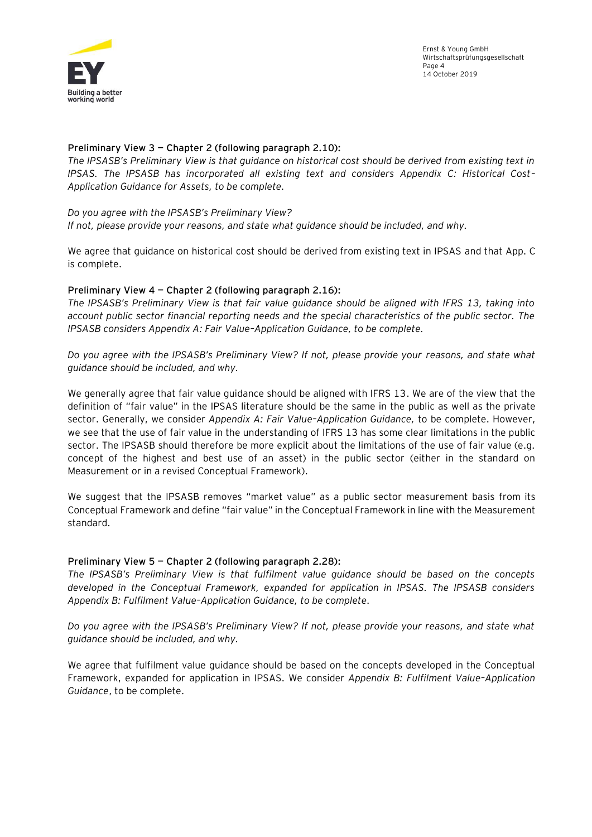

### **Preliminary View 3 — Chapter 2 (following paragraph 2.10):**

*The IPSASB's Preliminary View is that guidance on historical cost should be derived from existing text in IPSAS. The IPSASB has incorporated all existing text and considers Appendix C: Historical Cost– Application Guidance for Assets, to be complete.* 

#### *Do you agree with the IPSASB's Preliminary View?*

*If not, please provide your reasons, and state what guidance should be included, and why.*

We agree that guidance on historical cost should be derived from existing text in IPSAS and that App. C is complete.

## **Preliminary View 4 — Chapter 2 (following paragraph 2.16):**

*The IPSASB's Preliminary View is that fair value guidance should be aligned with IFRS 13, taking into account public sector financial reporting needs and the special characteristics of the public sector. The IPSASB considers Appendix A: Fair Value–Application Guidance, to be complete.* 

*Do you agree with the IPSASB's Preliminary View? If not, please provide your reasons, and state what guidance should be included, and why.*

We generally agree that fair value guidance should be aligned with IFRS 13. We are of the view that the definition of "fair value" in the IPSAS literature should be the same in the public as well as the private sector. Generally, we consider *Appendix A: Fair Value–Application Guidance,* to be complete. However, we see that the use of fair value in the understanding of IFRS 13 has some clear limitations in the public sector. The IPSASB should therefore be more explicit about the limitations of the use of fair value (e.g. concept of the highest and best use of an asset) in the public sector (either in the standard on Measurement or in a revised Conceptual Framework).

We suggest that the IPSASB removes "market value" as a public sector measurement basis from its Conceptual Framework and define "fair value" in the Conceptual Framework in line with the Measurement standard.

### **Preliminary View 5 — Chapter 2 (following paragraph 2.28):**

*The IPSASB's Preliminary View is that fulfilment value guidance should be based on the concepts developed in the Conceptual Framework, expanded for application in IPSAS. The IPSASB considers Appendix B: Fulfilment Value–Application Guidance, to be complete.* 

*Do you agree with the IPSASB's Preliminary View? If not, please provide your reasons, and state what guidance should be included, and why.*

We agree that fulfilment value guidance should be based on the concepts developed in the Conceptual Framework, expanded for application in IPSAS. We consider *Appendix B: Fulfilment Value–Application Guidance*, to be complete.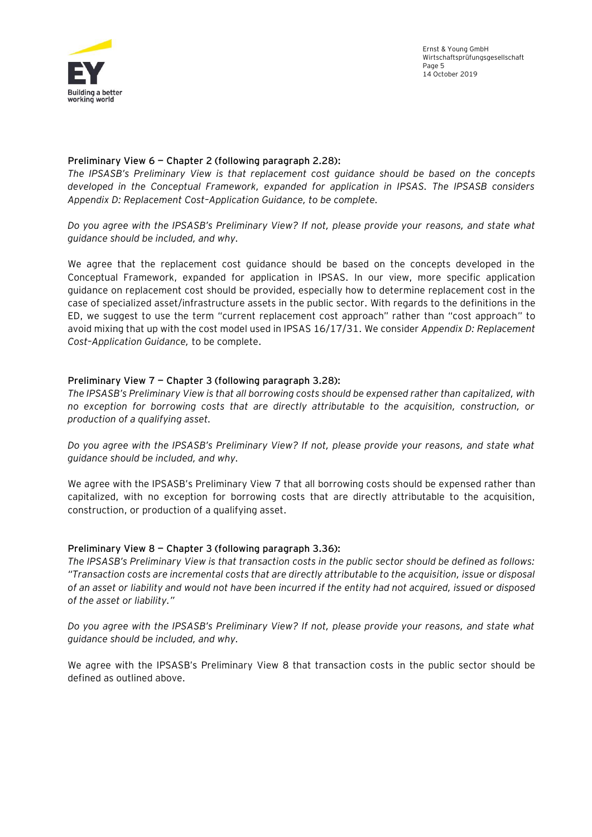

Ernst & Young GmbH Wirtschaftsprüfungsgesellschaft Page 5 14 October 2019

### **Preliminary View 6 — Chapter 2 (following paragraph 2.28):**

*The IPSASB's Preliminary View is that replacement cost guidance should be based on the concepts developed in the Conceptual Framework, expanded for application in IPSAS. The IPSASB considers Appendix D: Replacement Cost–Application Guidance, to be complete.* 

*Do you agree with the IPSASB's Preliminary View? If not, please provide your reasons, and state what guidance should be included, and why.*

We agree that the replacement cost guidance should be based on the concepts developed in the Conceptual Framework, expanded for application in IPSAS. In our view, more specific application guidance on replacement cost should be provided, especially how to determine replacement cost in the case of specialized asset/infrastructure assets in the public sector. With regards to the definitions in the ED, we suggest to use the term "current replacement cost approach" rather than "cost approach" to avoid mixing that up with the cost model used in IPSAS 16/17/31. We consider *Appendix D: Replacement Cost–Application Guidance,* to be complete.

## **Preliminary View 7 — Chapter 3 (following paragraph 3.28):**

*The IPSASB's Preliminary View is that all borrowing costs should be expensed rather than capitalized, with no exception for borrowing costs that are directly attributable to the acquisition, construction, or production of a qualifying asset.* 

*Do you agree with the IPSASB's Preliminary View? If not, please provide your reasons, and state what guidance should be included, and why.*

We agree with the IPSASB's Preliminary View 7 that all borrowing costs should be expensed rather than capitalized, with no exception for borrowing costs that are directly attributable to the acquisition, construction, or production of a qualifying asset.

### **Preliminary View 8 — Chapter 3 (following paragraph 3.36):**

*The IPSASB's Preliminary View is that transaction costs in the public sector should be defined as follows: "Transaction costs are incremental costs that are directly attributable to the acquisition, issue or disposal of an asset or liability and would not have been incurred if the entity had not acquired, issued or disposed of the asset or liability."* 

*Do you agree with the IPSASB's Preliminary View? If not, please provide your reasons, and state what guidance should be included, and why.*

We agree with the IPSASB's Preliminary View 8 that transaction costs in the public sector should be defined as outlined above.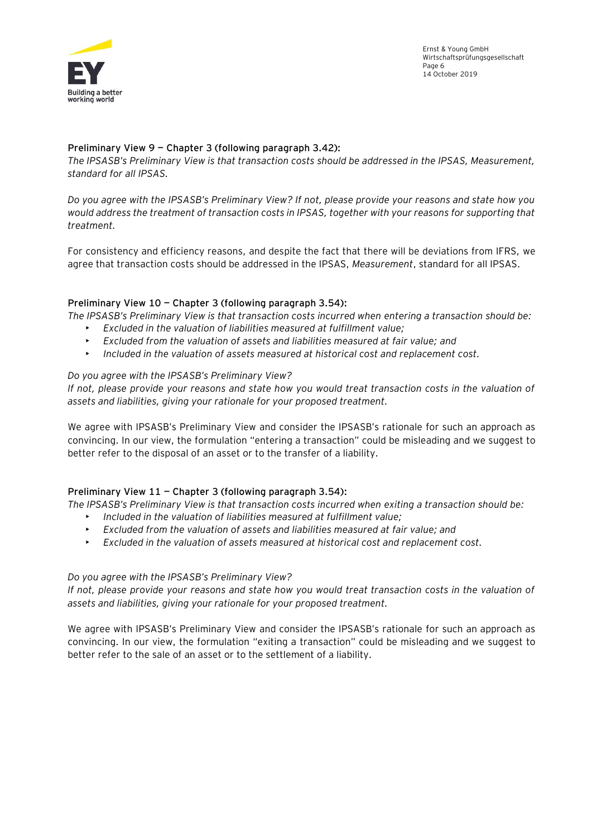

Ernst & Young GmbH Wirtschaftsprüfungsgesellschaft Page 6 14 October 2019

## **Preliminary View 9 — Chapter 3 (following paragraph 3.42):**

*The IPSASB's Preliminary View is that transaction costs should be addressed in the IPSAS, Measurement, standard for all IPSAS.* 

*Do you agree with the IPSASB's Preliminary View? If not, please provide your reasons and state how you would address the treatment of transaction costs in IPSAS, together with your reasons for supporting that treatment.*

For consistency and efficiency reasons, and despite the fact that there will be deviations from IFRS, we agree that transaction costs should be addressed in the IPSAS, *Measurement*, standard for all IPSAS.

## **Preliminary View 10 — Chapter 3 (following paragraph 3.54):**

*The IPSASB's Preliminary View is that transaction costs incurred when entering a transaction should be:* 

- *Excluded in the valuation of liabilities measured at fulfillment value;*
- *Excluded from the valuation of assets and liabilities measured at fair value; and*
- *Included in the valuation of assets measured at historical cost and replacement cost.*

## *Do you agree with the IPSASB's Preliminary View?*

*If not, please provide your reasons and state how you would treat transaction costs in the valuation of assets and liabilities, giving your rationale for your proposed treatment.*

We agree with IPSASB's Preliminary View and consider the IPSASB's rationale for such an approach as convincing. In our view, the formulation "entering a transaction" could be misleading and we suggest to better refer to the disposal of an asset or to the transfer of a liability.

## **Preliminary View 11 — Chapter 3 (following paragraph 3.54):**

*The IPSASB's Preliminary View is that transaction costs incurred when exiting a transaction should be:* 

- *Included in the valuation of liabilities measured at fulfillment value;*
- *Excluded from the valuation of assets and liabilities measured at fair value; and*
- *Excluded in the valuation of assets measured at historical cost and replacement cost.*

### *Do you agree with the IPSASB's Preliminary View?*

*If not, please provide your reasons and state how you would treat transaction costs in the valuation of assets and liabilities, giving your rationale for your proposed treatment.*

We agree with IPSASB's Preliminary View and consider the IPSASB's rationale for such an approach as convincing. In our view, the formulation "exiting a transaction" could be misleading and we suggest to better refer to the sale of an asset or to the settlement of a liability.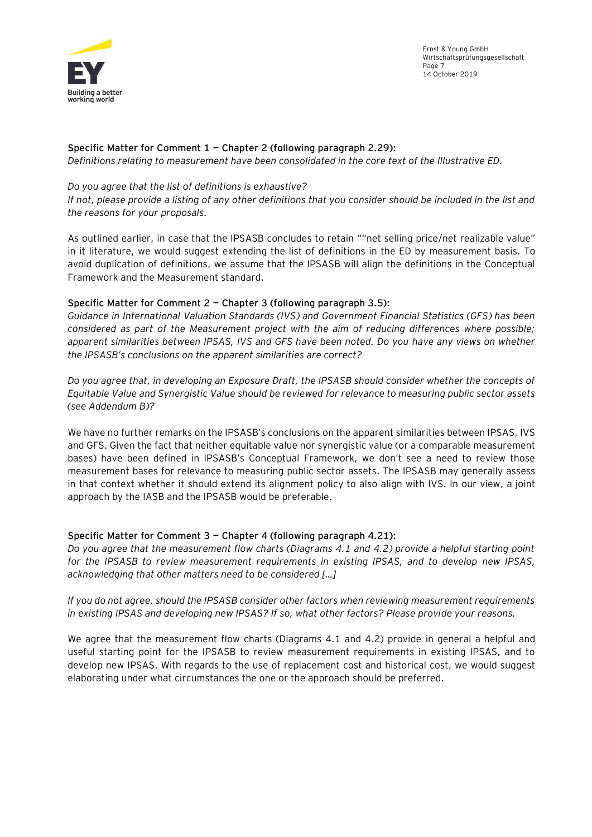

Ernst & Young GmbH Wirtschaftsprüfungsgesellschaft Page 7 14 October 2019

## **Specific Matter for Comment 1 — Chapter 2 (following paragraph 2.29):**

*Definitions relating to measurement have been consolidated in the core text of the Illustrative ED.* 

### *Do you agree that the list of definitions is exhaustive?*

*If not, please provide a listing of any other definitions that you consider should be included in the list and the reasons for your proposals.* 

As outlined earlier, in case that the IPSASB concludes to retain ""net selling price/net realizable value" in it literature, we would suggest extending the list of definitions in the ED by measurement basis. To avoid duplication of definitions, we assume that the IPSASB will align the definitions in the Conceptual Framework and the Measurement standard.

### **Specific Matter for Comment 2 — Chapter 3 (following paragraph 3.5):**

*Guidance in International Valuation Standards (IVS) and Government Financial Statistics (GFS) has been considered as part of the Measurement project with the aim of reducing differences where possible; apparent similarities between IPSAS, IVS and GFS have been noted. Do you have any views on whether the IPSASB's conclusions on the apparent similarities are correct?* 

*Do you agree that, in developing an Exposure Draft, the IPSASB should consider whether the concepts of Equitable Value and Synergistic Value should be reviewed for relevance to measuring public sector assets (see Addendum B)?*

We have no further remarks on the IPSASB's conclusions on the apparent similarities between IPSAS, IVS and GFS. Given the fact that neither equitable value nor synergistic value (or a comparable measurement bases) have been defined in IPSASB's Conceptual Framework, we don't see a need to review those measurement bases for relevance to measuring public sector assets. The IPSASB may generally assess in that context whether it should extend its alignment policy to also align with IVS. In our view, a joint approach by the IASB and the IPSASB would be preferable.

### **Specific Matter for Comment 3 — Chapter 4 (following paragraph 4.21):**

*Do you agree that the measurement flow charts (Diagrams 4.1 and 4.2) provide a helpful starting point for the IPSASB to review measurement requirements in existing IPSAS, and to develop new IPSAS, acknowledging that other matters need to be considered […]*

## *If you do not agree, should the IPSASB consider other factors when reviewing measurement requirements in existing IPSAS and developing new IPSAS? If so, what other factors? Please provide your reasons.*

We agree that the measurement flow charts (Diagrams 4.1 and 4.2) provide in general a helpful and useful starting point for the IPSASB to review measurement requirements in existing IPSAS, and to develop new IPSAS. With regards to the use of replacement cost and historical cost, we would suggest elaborating under what circumstances the one or the approach should be preferred.